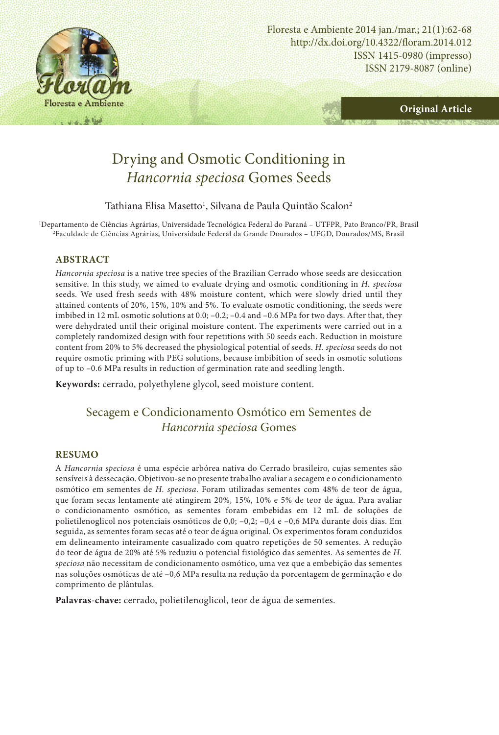

http://dx.doi.org/10.4322/floram.2014.012 ISSN 1415-0980 (impresso) ISSN 2179-8087 (online) Floresta e Ambiente 2014 jan./mar.; 21(1):62-68



# Drying and Osmotic Conditioning in *Hancornia speciosa* Gomes Seeds

Tathiana Elisa Masetto<sup>1</sup>, Silvana de Paula Quintão Scalon<sup>2</sup>

1 Departamento de Ciências Agrárias, Universidade Tecnológica Federal do Paraná – UTFPR, Pato Branco/PR, Brasil 2 Faculdade de Ciências Agrárias, Universidade Federal da Grande Dourados – UFGD, Dourados/MS, Brasil

### **ABSTRACT**

*Hancornia speciosa* is a native tree species of the Brazilian Cerrado whose seeds are desiccation sensitive. In this study, we aimed to evaluate drying and osmotic conditioning in *H. speciosa* seeds. We used fresh seeds with 48% moisture content, which were slowly dried until they attained contents of 20%, 15%, 10% and 5%. To evaluate osmotic conditioning, the seeds were imbibed in 12 mL osmotic solutions at 0.0; –0.2; –0.4 and –0.6 MPa for two days. After that, they were dehydrated until their original moisture content. The experiments were carried out in a completely randomized design with four repetitions with 50 seeds each. Reduction in moisture content from 20% to 5% decreased the physiological potential of seeds. *H. speciosa* seeds do not require osmotic priming with PEG solutions, because imbibition of seeds in osmotic solutions of up to –0.6 MPa results in reduction of germination rate and seedling length.

**Keywords:** cerrado, polyethylene glycol, seed moisture content.

## Secagem e Condicionamento Osmótico em Sementes de *Hancornia speciosa* Gomes

### **RESUMO**

A *Hancornia speciosa* é uma espécie arbórea nativa do Cerrado brasileiro, cujas sementes são sensíveis à dessecação. Objetivou-se no presente trabalho avaliar a secagem e o condicionamento osmótico em sementes de *H. speciosa*. Foram utilizadas sementes com 48% de teor de água, que foram secas lentamente até atingirem 20%, 15%, 10% e 5% de teor de água. Para avaliar o condicionamento osmótico, as sementes foram embebidas em 12 mL de soluções de polietilenoglicol nos potenciais osmóticos de 0,0; –0,2; –0,4 e –0,6 MPa durante dois dias. Em seguida, as sementes foram secas até o teor de água original. Os experimentos foram conduzidos em delineamento inteiramente casualizado com quatro repetições de 50 sementes. A redução do teor de água de 20% até 5% reduziu o potencial fisiológico das sementes. As sementes de *H. speciosa* não necessitam de condicionamento osmótico, uma vez que a embebição das sementes nas soluções osmóticas de até –0,6 MPa resulta na redução da porcentagem de germinação e do comprimento de plântulas.

**Palavras-chave:** cerrado, polietilenoglicol, teor de água de sementes.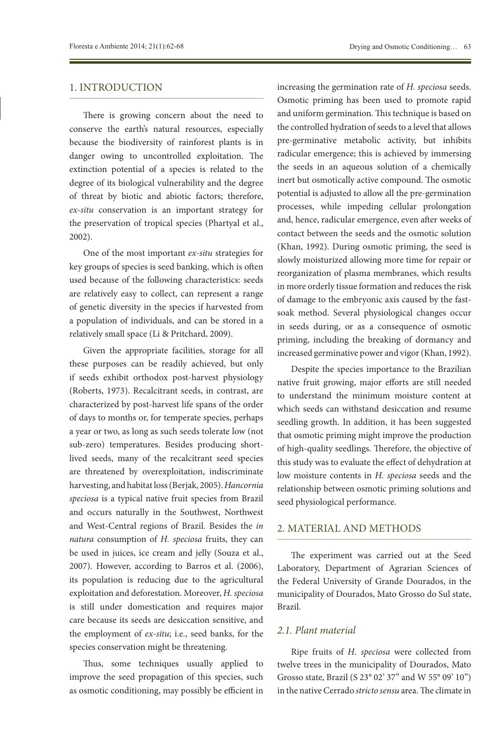### 1. INTRODUCTION

There is growing concern about the need to conserve the earth's natural resources, especially because the biodiversity of rainforest plants is in danger owing to uncontrolled exploitation. The extinction potential of a species is related to the degree of its biological vulnerability and the degree of threat by biotic and abiotic factors; therefore, *ex-situ* conservation is an important strategy for the preservation of tropical species (Phartyal et al., 2002).

One of the most important *ex-situ* strategies for key groups of species is seed banking, which is often used because of the following characteristics: seeds are relatively easy to collect, can represent a range of genetic diversity in the species if harvested from a population of individuals, and can be stored in a relatively small space (Li & Pritchard, 2009).

Given the appropriate facilities, storage for all these purposes can be readily achieved, but only if seeds exhibit orthodox post-harvest physiology (Roberts, 1973). Recalcitrant seeds, in contrast, are characterized by post-harvest life spans of the order of days to months or, for temperate species, perhaps a year or two, as long as such seeds tolerate low (not sub-zero) temperatures. Besides producing shortlived seeds, many of the recalcitrant seed species are threatened by overexploitation, indiscriminate harvesting, and habitat loss (Berjak, 2005). *Hancornia speciosa* is a typical native fruit species from Brazil and occurs naturally in the Southwest, Northwest and West-Central regions of Brazil. Besides the *in natura* consumption of *H. speciosa* fruits, they can be used in juices, ice cream and jelly (Souza et al., 2007). However, according to Barros et al. (2006), its population is reducing due to the agricultural exploitation and deforestation. Moreover, *H. speciosa* is still under domestication and requires major care because its seeds are desiccation sensitive, and the employment of *ex-situ*; i.e., seed banks, for the species conservation might be threatening.

Thus, some techniques usually applied to improve the seed propagation of this species, such as osmotic conditioning, may possibly be efficient in

increasing the germination rate of *H. speciosa* seeds. Osmotic priming has been used to promote rapid and uniform germination. This technique is based on the controlled hydration of seeds to a level that allows pre-germinative metabolic activity, but inhibits radicular emergence; this is achieved by immersing the seeds in an aqueous solution of a chemically inert but osmotically active compound. The osmotic potential is adjusted to allow all the pre-germination processes, while impeding cellular prolongation and, hence, radicular emergence, even after weeks of contact between the seeds and the osmotic solution (Khan, 1992). During osmotic priming, the seed is slowly moisturized allowing more time for repair or reorganization of plasma membranes, which results in more orderly tissue formation and reduces the risk of damage to the embryonic axis caused by the fastsoak method. Several physiological changes occur in seeds during, or as a consequence of osmotic priming, including the breaking of dormancy and increased germinative power and vigor (Khan, 1992).

Despite the species importance to the Brazilian native fruit growing, major efforts are still needed to understand the minimum moisture content at which seeds can withstand desiccation and resume seedling growth. In addition, it has been suggested that osmotic priming might improve the production of high-quality seedlings. Therefore, the objective of this study was to evaluate the effect of dehydration at low moisture contents in *H. speciosa* seeds and the relationship between osmotic priming solutions and seed physiological performance.

### 2. MATERIAL AND METHODS

The experiment was carried out at the Seed Laboratory, Department of Agrarian Sciences of the Federal University of Grande Dourados, in the municipality of Dourados, Mato Grosso do Sul state, Brazil.

### *2.1. Plant material*

Ripe fruits of *H. speciosa* were collected from twelve trees in the municipality of Dourados, Mato Grosso state, Brazil (S 23° 02' 37" and W 55° 09' 10") in the native Cerrado *stricto sensu* area. The climate in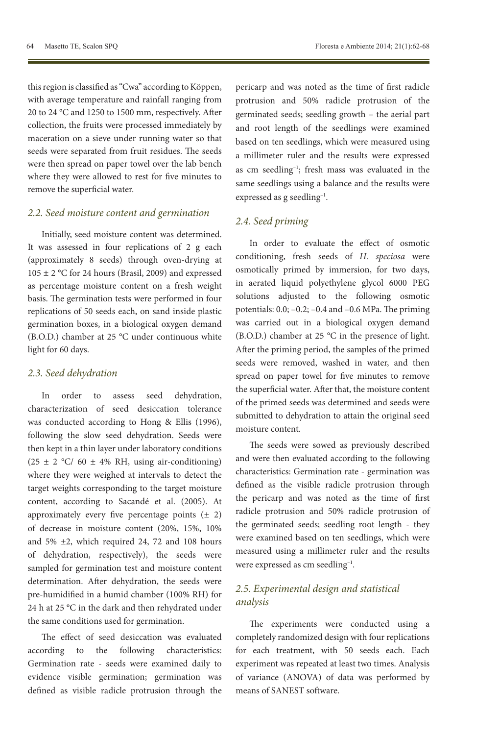this region is classified as "Cwa" according to Köppen, with average temperature and rainfall ranging from 20 to 24 °C and 1250 to 1500 mm, respectively. After collection, the fruits were processed immediately by maceration on a sieve under running water so that seeds were separated from fruit residues. The seeds were then spread on paper towel over the lab bench where they were allowed to rest for five minutes to remove the superficial water.

#### *2.2. Seed moisture content and germination*

Initially, seed moisture content was determined. It was assessed in four replications of 2 g each (approximately 8 seeds) through oven-drying at  $105 \pm 2$  °C for 24 hours (Brasil, 2009) and expressed as percentage moisture content on a fresh weight basis. The germination tests were performed in four replications of 50 seeds each, on sand inside plastic germination boxes, in a biological oxygen demand (B.O.D.) chamber at 25 °C under continuous white light for 60 days.

#### *2.3. Seed dehydration*

In order to assess seed dehydration, characterization of seed desiccation tolerance was conducted according to Hong & Ellis (1996), following the slow seed dehydration. Seeds were then kept in a thin layer under laboratory conditions (25 ± 2  $°C/60 \pm 4\%$  RH, using air-conditioning) where they were weighed at intervals to detect the target weights corresponding to the target moisture content, according to Sacandé et al. (2005). At approximately every five percentage points  $(± 2)$ of decrease in moisture content (20%, 15%, 10% and 5% ±2, which required 24, 72 and 108 hours of dehydration, respectively), the seeds were sampled for germination test and moisture content determination. After dehydration, the seeds were pre-humidified in a humid chamber (100% RH) for 24 h at 25 °C in the dark and then rehydrated under the same conditions used for germination.

The effect of seed desiccation was evaluated according to the following characteristics: Germination rate - seeds were examined daily to evidence visible germination; germination was defined as visible radicle protrusion through the pericarp and was noted as the time of first radicle protrusion and 50% radicle protrusion of the germinated seeds; seedling growth – the aerial part and root length of the seedlings were examined based on ten seedlings, which were measured using a millimeter ruler and the results were expressed as cm seedling–1; fresh mass was evaluated in the same seedlings using a balance and the results were expressed as g seedling–1.

### *2.4. Seed priming*

In order to evaluate the effect of osmotic conditioning, fresh seeds of *H. speciosa* were osmotically primed by immersion, for two days, in aerated liquid polyethylene glycol 6000 PEG solutions adjusted to the following osmotic potentials: 0.0; –0.2; –0.4 and –0.6 MPa. The priming was carried out in a biological oxygen demand (B.O.D.) chamber at 25 °C in the presence of light. After the priming period, the samples of the primed seeds were removed, washed in water, and then spread on paper towel for five minutes to remove the superficial water. After that, the moisture content of the primed seeds was determined and seeds were submitted to dehydration to attain the original seed moisture content.

The seeds were sowed as previously described and were then evaluated according to the following characteristics: Germination rate - germination was defined as the visible radicle protrusion through the pericarp and was noted as the time of first radicle protrusion and 50% radicle protrusion of the germinated seeds; seedling root length - they were examined based on ten seedlings, which were measured using a millimeter ruler and the results were expressed as cm seedling–1.

### *2.5. Experimental design and statistical analysis*

The experiments were conducted using a completely randomized design with four replications for each treatment, with 50 seeds each. Each experiment was repeated at least two times. Analysis of variance (ANOVA) of data was performed by means of SANEST software.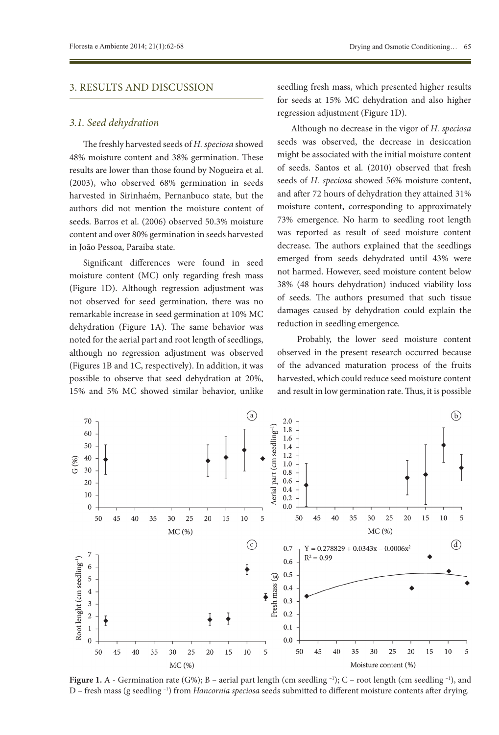### 3. RESULTS AND DISCUSSION

### *3.1. Seed dehydration*

The freshly harvested seeds of *H. speciosa* showed 48% moisture content and 38% germination. These results are lower than those found by Nogueira et al. (2003), who observed 68% germination in seeds harvested in Sirinhaém, Pernanbuco state, but the authors did not mention the moisture content of seeds. Barros et al. (2006) observed 50.3% moisture content and over 80% germination in seeds harvested in João Pessoa, Paraiba state.

Significant differences were found in seed moisture content (MC) only regarding fresh mass (Figure 1D). Although regression adjustment was not observed for seed germination, there was no remarkable increase in seed germination at 10% MC dehydration (Figure 1A). The same behavior was noted for the aerial part and root length of seedlings, although no regression adjustment was observed (Figures 1B and 1C, respectively). In addition, it was possible to observe that seed dehydration at 20%, 15% and 5% MC showed similar behavior, unlike seedling fresh mass, which presented higher results for seeds at 15% MC dehydration and also higher regression adjustment (Figure 1D).

Although no decrease in the vigor of *H. speciosa* seeds was observed, the decrease in desiccation might be associated with the initial moisture content of seeds. Santos et al. (2010) observed that fresh seeds of *H. speciosa* showed 56% moisture content, and after 72 hours of dehydration they attained 31% moisture content, corresponding to approximately 73% emergence. No harm to seedling root length was reported as result of seed moisture content decrease. The authors explained that the seedlings emerged from seeds dehydrated until 43% were not harmed. However, seed moisture content below 38% (48 hours dehydration) induced viability loss of seeds. The authors presumed that such tissue damages caused by dehydration could explain the reduction in seedling emergence.

 Probably, the lower seed moisture content observed in the present research occurred because of the advanced maturation process of the fruits harvested, which could reduce seed moisture content and result in low germination rate. Thus, it is possible



**Figure 1.** A - Germination rate (G%); B – aerial part length (cm seedling  $^{-1}$ ); C – root length (cm seedling  $^{-1}$ ), and D – fresh mass (g seedling –1) from *Hancornia speciosa* seeds submitted to different moisture contents after drying.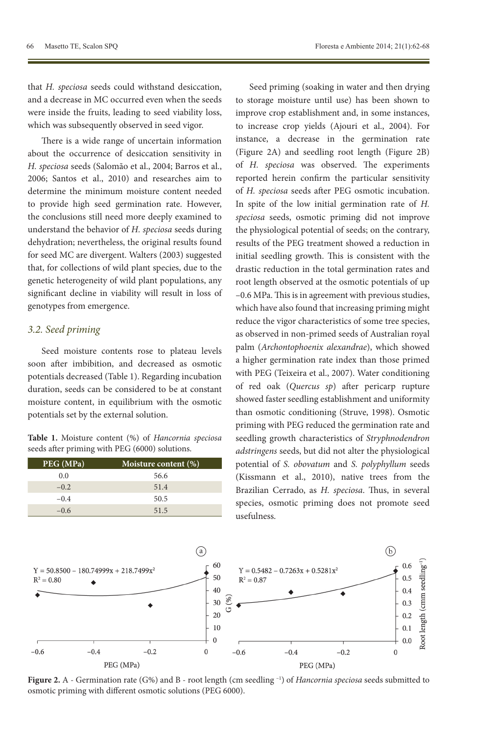that *H. speciosa* seeds could withstand desiccation, and a decrease in MC occurred even when the seeds were inside the fruits, leading to seed viability loss, which was subsequently observed in seed vigor.

There is a wide range of uncertain information about the occurrence of desiccation sensitivity in *H. speciosa* seeds (Salomão et al., 2004; Barros et al., 2006; Santos et al., 2010) and researches aim to determine the minimum moisture content needed to provide high seed germination rate. However, the conclusions still need more deeply examined to understand the behavior of *H. speciosa* seeds during dehydration; nevertheless, the original results found for seed MC are divergent. Walters (2003) suggested that, for collections of wild plant species, due to the genetic heterogeneity of wild plant populations, any significant decline in viability will result in loss of genotypes from emergence.

### *3.2. Seed priming*

Seed moisture contents rose to plateau levels soon after imbibition, and decreased as osmotic potentials decreased (Table 1). Regarding incubation duration, seeds can be considered to be at constant moisture content, in equilibrium with the osmotic potentials set by the external solution.

|  |  |  | Table 1. Moisture content (%) of Hancornia speciosa |  |
|--|--|--|-----------------------------------------------------|--|
|  |  |  | seeds after priming with PEG (6000) solutions.      |  |

| PEG (MPa) | Moisture content (%) |
|-----------|----------------------|
| 0.0       | 56.6                 |
| $-0.2$    | 51.4                 |
| $-0.4$    | 50.5                 |
| $-0.6$    | 51.5                 |

Seed priming (soaking in water and then drying to storage moisture until use) has been shown to improve crop establishment and, in some instances, to increase crop yields (Ajouri et al., 2004). For instance, a decrease in the germination rate (Figure 2A) and seedling root length (Figure 2B) of *H. speciosa* was observed. The experiments reported herein confirm the particular sensitivity of *H. speciosa* seeds after PEG osmotic incubation. In spite of the low initial germination rate of *H. speciosa* seeds, osmotic priming did not improve the physiological potential of seeds; on the contrary, results of the PEG treatment showed a reduction in initial seedling growth. This is consistent with the drastic reduction in the total germination rates and root length observed at the osmotic potentials of up –0.6 MPa. This is in agreement with previous studies, which have also found that increasing priming might reduce the vigor characteristics of some tree species, as observed in non-primed seeds of Australian royal palm (*Archontophoenix alexandrae*), which showed a higher germination rate index than those primed with PEG (Teixeira et al., 2007). Water conditioning of red oak (*Quercus sp*) after pericarp rupture showed faster seedling establishment and uniformity than osmotic conditioning (Struve, 1998). Osmotic priming with PEG reduced the germination rate and seedling growth characteristics of *Stryphnodendron adstringens* seeds, but did not alter the physiological potential of *S. obovatum* and *S. polyphyllum* seeds (Kissmann et al., 2010), native trees from the Brazilian Cerrado, as *H. speciosa*. Thus, in several species, osmotic priming does not promote seed usefulness.



**Figure 2.** A - Germination rate (G%) and B - root length (cm seedling –1) of *Hancornia speciosa* seeds submitted to osmotic priming with different osmotic solutions (PEG 6000).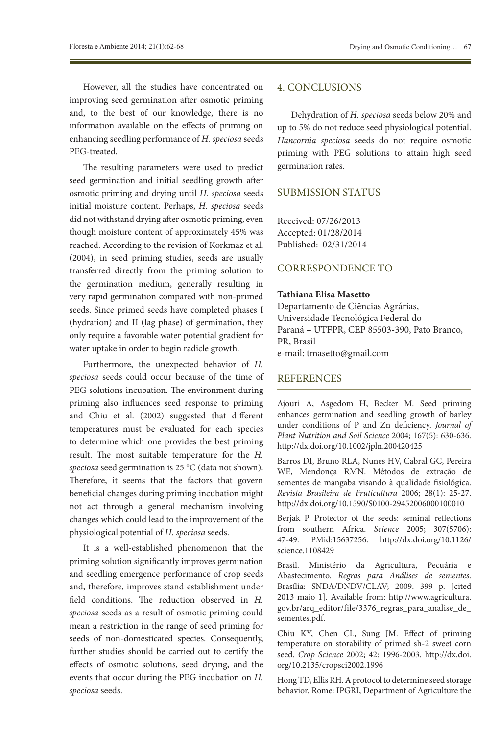However, all the studies have concentrated on improving seed germination after osmotic priming and, to the best of our knowledge, there is no information available on the effects of priming on enhancing seedling performance of *H. speciosa* seeds PEG-treated.

The resulting parameters were used to predict seed germination and initial seedling growth after osmotic priming and drying until *H. speciosa* seeds initial moisture content. Perhaps, *H. speciosa* seeds did not withstand drying after osmotic priming, even though moisture content of approximately 45% was reached. According to the revision of Korkmaz et al. (2004), in seed priming studies, seeds are usually transferred directly from the priming solution to the germination medium, generally resulting in very rapid germination compared with non-primed seeds. Since primed seeds have completed phases I (hydration) and II (lag phase) of germination, they only require a favorable water potential gradient for water uptake in order to begin radicle growth.

Furthermore, the unexpected behavior of *H. speciosa* seeds could occur because of the time of PEG solutions incubation. The environment during priming also influences seed response to priming and Chiu et al. (2002) suggested that different temperatures must be evaluated for each species to determine which one provides the best priming result. The most suitable temperature for the *H. speciosa* seed germination is 25 °C (data not shown). Therefore, it seems that the factors that govern beneficial changes during priming incubation might not act through a general mechanism involving changes which could lead to the improvement of the physiological potential of *H. speciosa* seeds.

It is a well-established phenomenon that the priming solution significantly improves germination and seedling emergence performance of crop seeds and, therefore, improves stand establishment under field conditions. The reduction observed in *H. speciosa* seeds as a result of osmotic priming could mean a restriction in the range of seed priming for seeds of non-domesticated species. Consequently, further studies should be carried out to certify the effects of osmotic solutions, seed drying, and the events that occur during the PEG incubation on *H. speciosa* seeds.

### 4. CONCLUSIONS

Dehydration of *H. speciosa* seeds below 20% and up to 5% do not reduce seed physiological potential. *Hancornia speciosa* seeds do not require osmotic priming with PEG solutions to attain high seed germination rates.

### SUBMISSION STATUS

Received: 07/26/2013 Accepted: 01/28/2014 Published: 02/31/2014

### CORRESPONDENCE TO

### **Tathiana Elisa Masetto**

Departamento de Ciências Agrárias, Universidade Tecnológica Federal do Paraná – UTFPR, CEP 85503-390, Pato Branco, PR, Brasil e-mail: tmasetto@gmail.com

### **REFERENCES**

Ajouri A, Asgedom H, Becker M. Seed priming enhances germination and seedling growth of barley under conditions of P and Zn deficiency. *Journal of Plant Nutrition and Soil Science* 2004; 167(5): 630-636. <http://dx.doi.org/10.1002/jpln.200420425>

Barros DI, Bruno RLA, Nunes HV, Cabral GC, Pereira WE, Mendonça RMN. Métodos de extração de sementes de mangaba visando à qualidade fisiológica. *Revista Brasileira de Fruticultura* 2006; 28(1): 25-27. <http://dx.doi.org/10.1590/S0100-29452006000100010>

Berjak P. Protector of the seeds: seminal reflections from southern Africa. *Science* 2005; 307(5706): 47-49. PMid:15637256. [http://dx.doi.org/10.1126/](http://dx.doi.org/10.1126/science.1108429) [science.1108429](http://dx.doi.org/10.1126/science.1108429)

Brasil. Ministério da Agricultura, Pecuária e Abastecimento. *Regras para Análises de sementes*. Brasília: SNDA/DNDV/CLAV; 2009. 399 p. [cited 2013 maio 1]. Available from: [http://www.agricultura.](http://www.agricultura.gov.br/arq_editor/file/3376_regras_para_analise_de_sementes.pdf) [gov.br/arq\\_editor/file/3376\\_regras\\_para\\_analise\\_de\\_](http://www.agricultura.gov.br/arq_editor/file/3376_regras_para_analise_de_sementes.pdf) [sementes.pdf.](http://www.agricultura.gov.br/arq_editor/file/3376_regras_para_analise_de_sementes.pdf)

Chiu KY, Chen CL, Sung JM. Effect of priming temperature on storability of primed sh-2 sweet corn seed. *Crop Science* 2002; 42: 1996-2003. [http://dx.doi.](http://dx.doi.org/10.2135/cropsci2002.1996) [org/10.2135/cropsci2002.1996](http://dx.doi.org/10.2135/cropsci2002.1996)

Hong TD, Ellis RH. A protocol to determine seed storage behavior. Rome: IPGRI, Department of Agriculture the